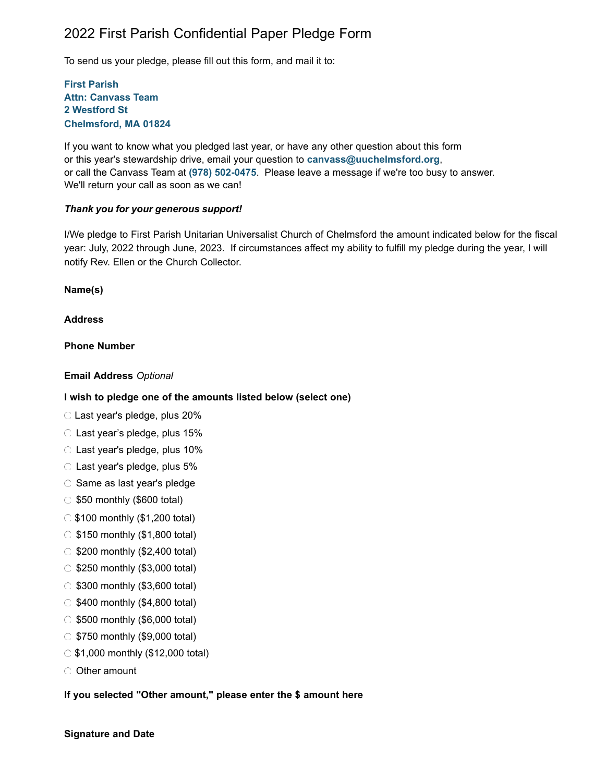# 2022 First Parish Confidential Paper Pledge Form

To send us your pledge, please fill out this form, and mail it to:

### **First Parish Attn: Canvass Team 2 Westford St Chelmsford, MA 01824**

If you want to know what you pledged last year, or have any other question about this form or this year's stewardship drive, email your question to **[canvass@uuchelmsford.org](mailto:canvass@uuchelmsford.org)**, or call the Canvass Team at **(978) 502-0475**. Please leave a message if we're too busy to answer. We'll return your call as soon as we can!

### *Thank you for your generous support!*

I/We pledge to First Parish Unitarian Universalist Church of Chelmsford the amount indicated below for the fiscal year: July, 2022 through June, 2023. If circumstances affect my ability to fulfill my pledge during the year, I will notify Rev. Ellen or the Church Collector.

**Name(s)**

### **Address**

### **Phone Number**

#### **Email Address** *Optional*

#### **I wish to pledge one of the amounts listed below (select one)**

Last year's pledge, plus 20%

- $\circ$  Last year's pledge, plus 15%
- Last year's pledge, plus 10%
- $\circ$  Last year's pledge, plus 5%
- $\circ$  Same as last year's pledge
- $\circ$  \$50 monthly (\$600 total)
- $\circ$  \$100 monthly (\$1,200 total)
- $\circ$  \$150 monthly (\$1,800 total)
- $\circ$  \$200 monthly (\$2,400 total)
- $\circ$  \$250 monthly (\$3,000 total)
- $\circ$  \$300 monthly (\$3,600 total)
- $\circ$  \$400 monthly (\$4,800 total)
- $\circ$  \$500 monthly (\$6,000 total)
- $\circ$  \$750 monthly (\$9,000 total)
- $\circ$  \$1,000 monthly (\$12,000 total)
- O Other amount

## **If you selected "Other amount," please enter the \$ amount here**